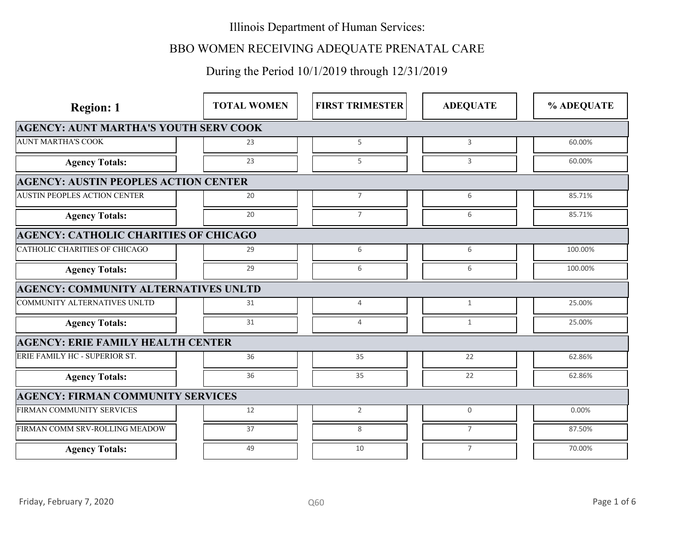# BBO WOMEN RECEIVING ADEQUATE PRENATAL CARE

| <b>Region: 1</b>                             | <b>TOTAL WOMEN</b> | <b>FIRST TRIMESTER</b> | <b>ADEQUATE</b> | % ADEQUATE  |  |
|----------------------------------------------|--------------------|------------------------|-----------------|-------------|--|
| <b>AGENCY: AUNT MARTHA'S YOUTH SERV COOK</b> |                    |                        |                 |             |  |
| <b>AUNT MARTHA'S COOK</b>                    | 23                 | 5                      | 3               | 60.00%      |  |
| <b>Agency Totals:</b>                        | 23                 | 5                      | 3               | 60.00%      |  |
| <b>AGENCY: AUSTIN PEOPLES ACTION CENTER</b>  |                    |                        |                 |             |  |
| <b>AUSTIN PEOPLES ACTION CENTER</b>          | 20                 | $\overline{7}$         | 6               | 85.71%      |  |
| <b>Agency Totals:</b>                        | 20                 | $\overline{7}$         | 6               | 85.71%      |  |
| <b>AGENCY: CATHOLIC CHARITIES OF CHICAGO</b> |                    |                        |                 |             |  |
| CATHOLIC CHARITIES OF CHICAGO                | 29                 | 6                      | 6               | 100.00%     |  |
| <b>Agency Totals:</b>                        | 29                 | 6                      | 6               | 100.00%     |  |
| <b>AGENCY: COMMUNITY ALTERNATIVES UNLTD</b>  |                    |                        |                 |             |  |
| COMMUNITY ALTERNATIVES UNLTD                 | 31                 | $\overline{4}$         | 1               | 25.00%      |  |
| <b>Agency Totals:</b>                        | 31                 | $\overline{4}$         | 1               | 25.00%      |  |
| <b>AGENCY: ERIE FAMILY HEALTH CENTER</b>     |                    |                        |                 |             |  |
| ERIE FAMILY HC - SUPERIOR ST.                | 36                 | 35                     | 22              | 62.86%      |  |
| <b>Agency Totals:</b>                        | 36                 | 35                     | 22              | 62.86%      |  |
| <b>AGENCY: FIRMAN COMMUNITY SERVICES</b>     |                    |                        |                 |             |  |
| FIRMAN COMMUNITY SERVICES                    | 12                 | $\overline{2}$         | $\overline{0}$  | 0.00%       |  |
| FIRMAN COMM SRV-ROLLING MEADOW               | 37                 | 8                      | $\overline{7}$  | 87.50%      |  |
| <b>Agency Totals:</b>                        | 49                 | 10                     | $\overline{7}$  | 70.00%      |  |
|                                              |                    |                        |                 |             |  |
| Friday, February 7, 2020                     |                    | Q60                    |                 | Page 1 of 6 |  |
|                                              |                    |                        |                 |             |  |
|                                              |                    |                        |                 |             |  |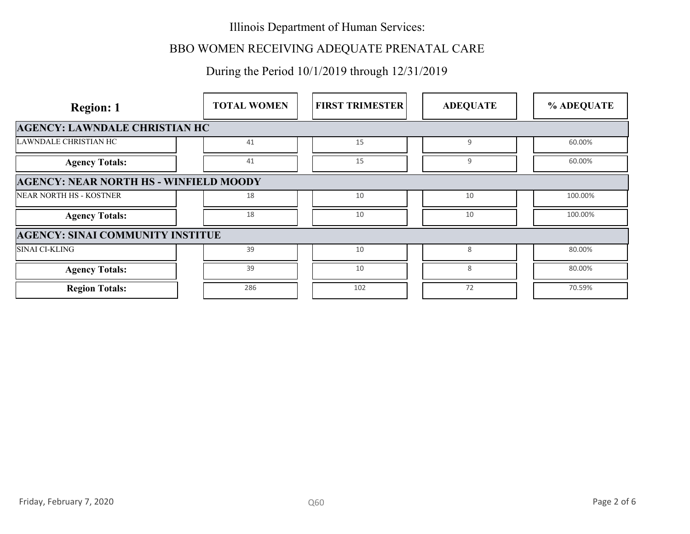# BBO WOMEN RECEIVING ADEQUATE PRENATAL CARE

| <b>Region: 1</b>                              | <b>TOTAL WOMEN</b> | <b>FIRST TRIMESTER</b> | <b>ADEQUATE</b> | % ADEQUATE         |  |
|-----------------------------------------------|--------------------|------------------------|-----------------|--------------------|--|
| <b>AGENCY: LAWNDALE CHRISTIAN HC</b>          |                    |                        |                 |                    |  |
| LAWNDALE CHRISTIAN HC                         | 41                 | 15                     | 9               | 60.00%             |  |
| <b>Agency Totals:</b>                         | 41                 | 15                     | 9               | 60.00%             |  |
| <b>AGENCY: NEAR NORTH HS - WINFIELD MOODY</b> |                    |                        |                 |                    |  |
| NEAR NORTH HS - KOSTNER                       | 18                 | 10                     | 10              | 100.00%<br>100.00% |  |
| <b>Agency Totals:</b>                         | $18\,$             | 10                     | 10              |                    |  |
| <b>AGENCY: SINAI COMMUNITY INSTITUE</b>       |                    |                        |                 |                    |  |
| SINAI CI-KLING                                | 39                 | 10                     | 8               | 80.00%             |  |
| <b>Agency Totals:</b>                         | 39                 | 10                     | 8               | 80.00%             |  |
| <b>Region Totals:</b>                         | 286                | 102                    | 72              | 70.59%             |  |
|                                               |                    |                        |                 |                    |  |
| Friday, February 7, 2020                      |                    | <b>Q60</b>             |                 | Page 2 of 6        |  |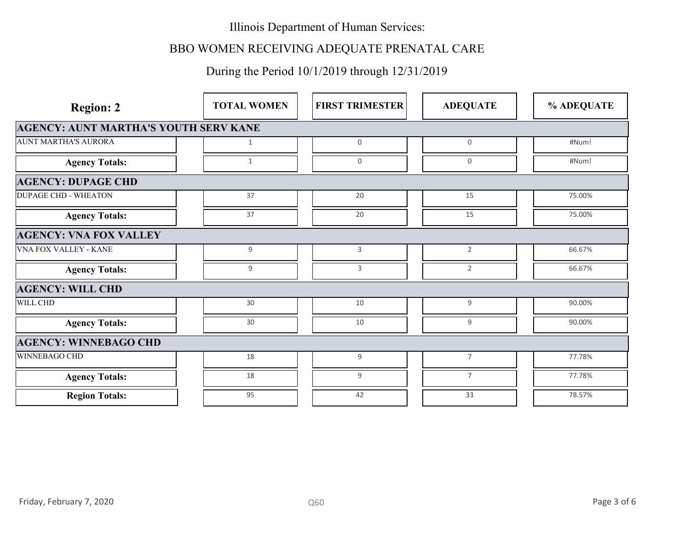# BBO WOMEN RECEIVING ADEQUATE PRENATAL CARE

| <b>Region: 2</b>                             | <b>TOTAL WOMEN</b> | <b>FIRST TRIMESTER</b> | <b>ADEQUATE</b> | % ADEQUATE  |  |
|----------------------------------------------|--------------------|------------------------|-----------------|-------------|--|
| <b>AGENCY: AUNT MARTHA'S YOUTH SERV KANE</b> |                    |                        |                 |             |  |
| <b>AUNT MARTHA'S AURORA</b>                  | $\mathbf{1}$       | $\overline{0}$         | $\mathbf 0$     | #Num!       |  |
| <b>Agency Totals:</b>                        | 1                  | $\mathbf 0$            | $\mathsf{O}$    | #Num!       |  |
| <b>AGENCY: DUPAGE CHD</b>                    |                    |                        |                 |             |  |
| <b>DUPAGE CHD - WHEATON</b>                  | 37                 | 20                     | 15              | 75.00%      |  |
| <b>Agency Totals:</b>                        | 37                 | 20                     | 15              | 75.00%      |  |
| <b>AGENCY: VNA FOX VALLEY</b>                |                    |                        |                 |             |  |
| <b>VNA FOX VALLEY - KANE</b>                 | $9\,$              | $\overline{3}$         | $\overline{2}$  | 66.67%      |  |
| <b>Agency Totals:</b>                        | 9                  | 3                      | $\overline{2}$  | 66.67%      |  |
| <b>AGENCY: WILL CHD</b>                      |                    |                        |                 |             |  |
| WILL CHD                                     | 30                 | 10                     | 9               | 90.00%      |  |
| <b>Agency Totals:</b>                        | $30\,$             | $10\,$                 | 9               | 90.00%      |  |
| <b>AGENCY: WINNEBAGO CHD</b>                 |                    |                        |                 |             |  |
| WINNEBAGO CHD                                | 18                 | 9                      | $7\overline{ }$ | 77.78%      |  |
| <b>Agency Totals:</b>                        | $18\,$             | 9                      | 7               | 77.78%      |  |
| <b>Region Totals:</b>                        | 95                 | 42                     | 33              | 78.57%      |  |
|                                              |                    |                        |                 |             |  |
|                                              |                    |                        |                 |             |  |
|                                              |                    |                        |                 |             |  |
|                                              |                    |                        |                 |             |  |
|                                              |                    |                        |                 |             |  |
| Friday, February 7, 2020                     |                    | Q60                    |                 | Page 3 of 6 |  |
|                                              |                    |                        |                 |             |  |
|                                              |                    |                        |                 |             |  |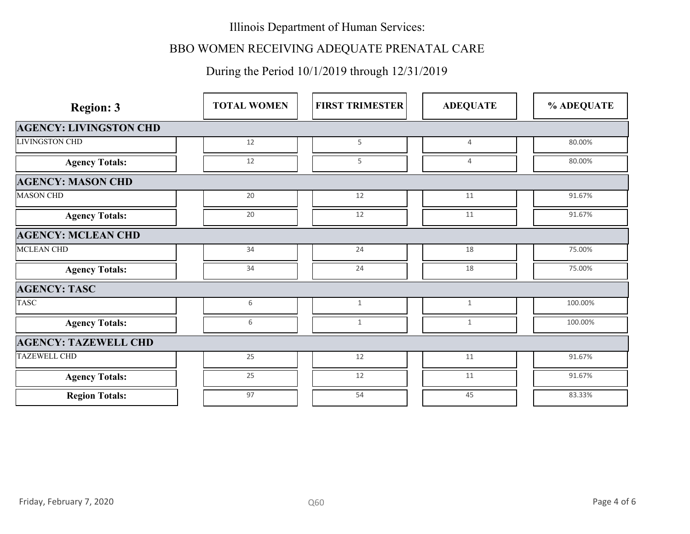# BBO WOMEN RECEIVING ADEQUATE PRENATAL CARE

| <b>Region: 3</b>              | <b>TOTAL WOMEN</b> | <b>FIRST TRIMESTER</b> | <b>ADEQUATE</b> | % ADEQUATE  |  |
|-------------------------------|--------------------|------------------------|-----------------|-------------|--|
| <b>AGENCY: LIVINGSTON CHD</b> |                    |                        |                 |             |  |
| <b>LIVINGSTON CHD</b>         | 12                 | 5                      | $\overline{4}$  | 80.00%      |  |
| <b>Agency Totals:</b>         | 12                 | 5                      | $\overline{4}$  | 80.00%      |  |
| <b>AGENCY: MASON CHD</b>      |                    |                        |                 |             |  |
| <b>MASON CHD</b>              | 20                 | 12                     | 11              | 91.67%      |  |
| <b>Agency Totals:</b>         | 20                 | 12                     | 11              | 91.67%      |  |
| <b>AGENCY: MCLEAN CHD</b>     |                    |                        |                 |             |  |
| <b>MCLEAN CHD</b>             | 34                 | 24                     | 18              | 75.00%      |  |
| <b>Agency Totals:</b>         | 34                 | 24                     | 18              | 75.00%      |  |
| <b>AGENCY: TASC</b>           |                    |                        |                 |             |  |
| <b>TASC</b>                   | 6                  | $\mathbf{1}$           | $\mathbf{1}$    | 100.00%     |  |
| <b>Agency Totals:</b>         | 6                  | 1                      | $\mathbf{1}$    | 100.00%     |  |
| <b>AGENCY: TAZEWELL CHD</b>   |                    |                        |                 |             |  |
| <b>TAZEWELL CHD</b>           | 25                 | 12                     | 11              | 91.67%      |  |
| <b>Agency Totals:</b>         | 25                 | 12                     | 11              | 91.67%      |  |
| <b>Region Totals:</b>         | 97                 | 54                     | 45              | 83.33%      |  |
|                               |                    |                        |                 |             |  |
|                               |                    |                        |                 |             |  |
|                               |                    |                        |                 |             |  |
|                               |                    |                        |                 |             |  |
|                               |                    |                        |                 |             |  |
| Friday, February 7, 2020      |                    | Q60                    |                 | Page 4 of 6 |  |
|                               |                    |                        |                 |             |  |
|                               |                    |                        |                 |             |  |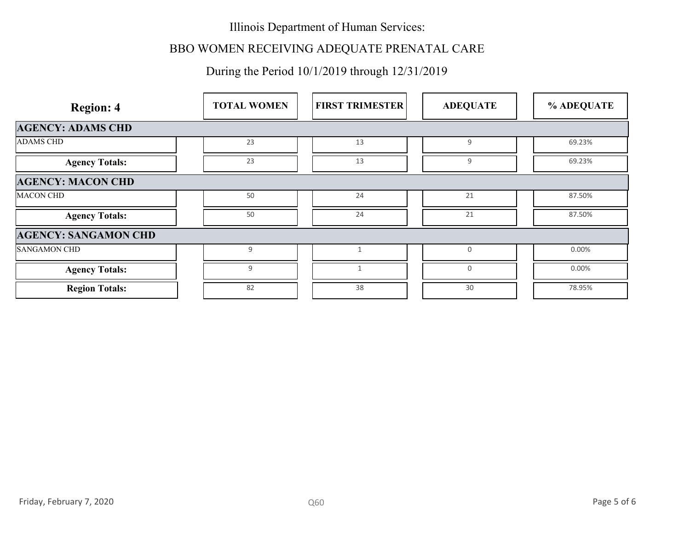# BBO WOMEN RECEIVING ADEQUATE PRENATAL CARE

| <b>Region: 4</b>            | <b>TOTAL WOMEN</b> | <b>FIRST TRIMESTER</b> | <b>ADEQUATE</b>     | % ADEQUATE |
|-----------------------------|--------------------|------------------------|---------------------|------------|
| <b>AGENCY: ADAMS CHD</b>    |                    |                        |                     |            |
| <b>ADAMS CHD</b>            | 23                 | 13                     | 9                   | 69.23%     |
| <b>Agency Totals:</b>       | 23                 | $13\,$                 | 9                   | 69.23%     |
| <b>AGENCY: MACON CHD</b>    |                    |                        |                     |            |
| <b>MACON CHD</b>            | 50                 | 24                     | 21                  | 87.50%     |
| <b>Agency Totals:</b>       | 50                 | 24                     | 21                  | 87.50%     |
| <b>AGENCY: SANGAMON CHD</b> |                    |                        |                     |            |
| SANGAMON CHD                | 9                  | $\mathbf{1}$           | $\mathsf{O}\xspace$ | 0.00%      |
| <b>Agency Totals:</b>       | 9                  | 1                      | 0                   | 0.00%      |
| <b>Region Totals:</b>       | 82                 | 38                     | 30                  | 78.95%     |
|                             |                    |                        |                     |            |
|                             |                    |                        |                     |            |